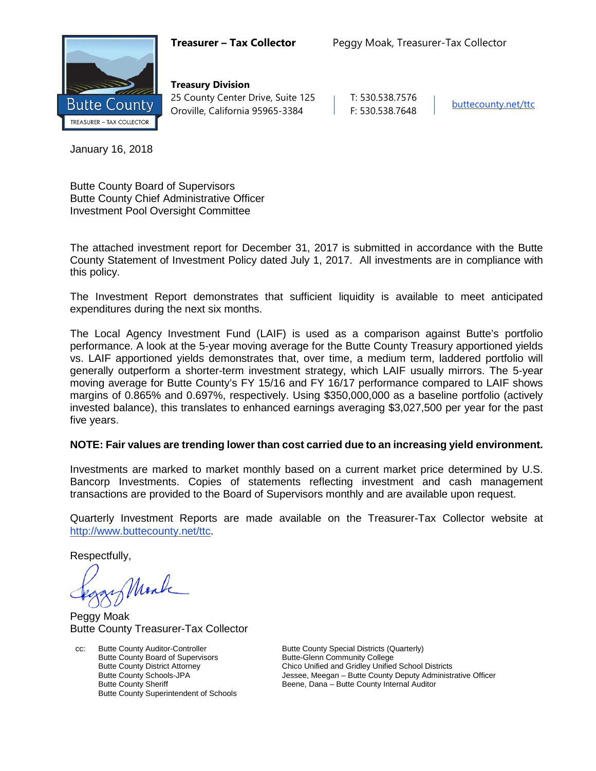

**Treasury Division** 25 County Center Drive, Suite 125 | T: 530.538.7576 Oroville, California 95965-3384 F: 530.538.7648 [buttecounty.net/t](http://www.buttecounty.net/administration)tc

January 16, 2018

Butte County Board of Supervisors Butte County Chief Administrative Officer Investment Pool Oversight Committee

The attached investment report for December 31, 2017 is submitted in accordance with the Butte County Statement of Investment Policy dated July 1, 2017. All investments are in compliance with this policy.

The Investment Report demonstrates that sufficient liquidity is available to meet anticipated expenditures during the next six months.

The Local Agency Investment Fund (LAIF) is used as a comparison against Butte's portfolio performance. A look at the 5-year moving average for the Butte County Treasury apportioned yields vs. LAIF apportioned yields demonstrates that, over time, a medium term, laddered portfolio will generally outperform a shorter-term investment strategy, which LAIF usually mirrors. The 5-year moving average for Butte County's FY 15/16 and FY 16/17 performance compared to LAIF shows margins of 0.865% and 0.697%, respectively. Using \$350,000,000 as a baseline portfolio (actively invested balance), this translates to enhanced earnings averaging \$3,027,500 per year for the past five years.

## **NOTE: Fair values are trending lower than cost carried due to an increasing yield environment.**

Investments are marked to market monthly based on a current market price determined by U.S. Bancorp Investments. Copies of statements reflecting investment and cash management transactions are provided to the Board of Supervisors monthly and are available upon request.

Quarterly Investment Reports are made available on the Treasurer-Tax Collector website at <http://www.buttecounty.net/ttc>.

Respectfully,

Mark

Peggy Moak Butte County Treasurer-Tax Collector

cc: Butte County Auditor-Controller Butte County Special Districts (Quarterly)<br>Butte County Board of Supervisors Butte-Glenn Community College Butte County Board of Supervisors<br>Butte-County District Attorney Butte County Superintendent of Schools

Butte County District Attorney Chico Unified and Gridley Unified School Districts<br>Butte County Schools-JPA School Districts Jessee, Meegan – Butte County Deputy Administr Butte County Schools-JPA **Jessee, Meegan – Butte County Deputy Administrative Officer**<br>Butte County Sheriff **Butte County Internal Auditor** Beene, Dana – Butte County Internal Auditor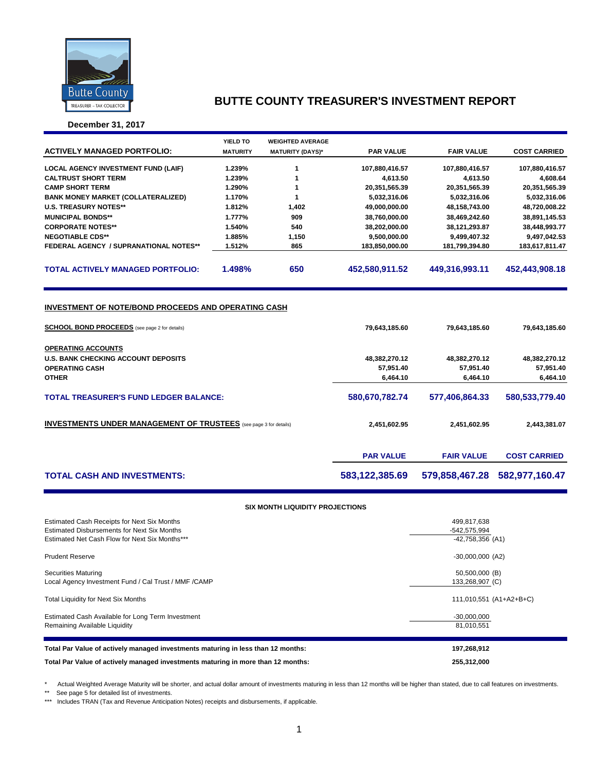

**December 31, 2017**

|                                                                          | YIELD TO        | <b>WEIGHTED AVERAGE</b> |                  |                   |                     |
|--------------------------------------------------------------------------|-----------------|-------------------------|------------------|-------------------|---------------------|
| <b>ACTIVELY MANAGED PORTFOLIO:</b>                                       | <b>MATURITY</b> | <b>MATURITY (DAYS)*</b> | <b>PAR VALUE</b> | <b>FAIR VALUE</b> | <b>COST CARRIED</b> |
|                                                                          |                 |                         |                  |                   |                     |
| <b>LOCAL AGENCY INVESTMENT FUND (LAIF)</b>                               | 1.239%          | 1                       | 107,880,416.57   | 107,880,416.57    | 107,880,416.57      |
| <b>CALTRUST SHORT TERM</b>                                               | 1.239%          | 1                       | 4,613.50         | 4.613.50          | 4,608.64            |
| <b>CAMP SHORT TERM</b>                                                   | 1.290%          | 1                       | 20,351,565.39    | 20,351,565.39     | 20,351,565.39       |
| <b>BANK MONEY MARKET (COLLATERALIZED)</b>                                | 1.170%          | 1                       | 5,032,316.06     | 5,032,316.06      | 5,032,316.06        |
| <b>U.S. TREASURY NOTES**</b>                                             | 1.812%          | 1,402                   | 49,000,000.00    | 48,158,743.00     | 48,720,008.22       |
| <b>MUNICIPAL BONDS**</b>                                                 | 1.777%          | 909                     | 38,760,000.00    | 38,469,242.60     | 38,891,145.53       |
| <b>CORPORATE NOTES**</b>                                                 | 1.540%          | 540                     | 38,202,000.00    | 38,121,293.87     | 38,448,993.77       |
| <b>NEGOTIABLE CDS**</b>                                                  | 1.885%          | 1,150                   | 9,500,000.00     | 9,499,407.32      | 9,497,042.53        |
| <b>FEDERAL AGENCY / SUPRANATIONAL NOTES**</b>                            | 1.512%          | 865                     | 183,850,000.00   | 181,799,394.80    | 183,617,811.47      |
|                                                                          |                 |                         |                  |                   |                     |
| <b>TOTAL ACTIVELY MANAGED PORTFOLIO:</b>                                 | 1.498%          | 650                     | 452,580,911.52   | 449,316,993.11    | 452,443,908.18      |
|                                                                          |                 |                         |                  |                   |                     |
|                                                                          |                 |                         |                  |                   |                     |
| <b>INVESTMENT OF NOTE/BOND PROCEEDS AND OPERATING CASH</b>               |                 |                         |                  |                   |                     |
|                                                                          |                 |                         |                  |                   |                     |
| <b>SCHOOL BOND PROCEEDS</b> (see page 2 for details)                     |                 |                         | 79,643,185.60    | 79,643,185.60     | 79,643,185.60       |
|                                                                          |                 |                         |                  |                   |                     |
| <b>OPERATING ACCOUNTS</b>                                                |                 |                         |                  |                   |                     |
| <b>U.S. BANK CHECKING ACCOUNT DEPOSITS</b>                               |                 |                         | 48,382,270.12    | 48,382,270.12     | 48,382,270.12       |
| <b>OPERATING CASH</b>                                                    |                 |                         | 57,951.40        | 57,951.40         | 57,951.40           |
| <b>OTHER</b>                                                             |                 |                         | 6,464.10         | 6,464.10          | 6,464.10            |
|                                                                          |                 |                         |                  |                   |                     |
| <b>TOTAL TREASURER'S FUND LEDGER BALANCE:</b>                            |                 |                         | 580,670,782.74   | 577,406,864.33    | 580,533,779.40      |
|                                                                          |                 |                         |                  |                   |                     |
| <b>INVESTMENTS UNDER MANAGEMENT OF TRUSTEES</b> (see page 3 for details) |                 |                         | 2,451,602.95     | 2,451,602.95      | 2,443,381.07        |
|                                                                          |                 |                         |                  |                   |                     |

|                                    | <b>PAR VALUE</b> | <b>FAIR VALUE</b>                                  | <b>COST CARRIED</b> |
|------------------------------------|------------------|----------------------------------------------------|---------------------|
| <b>TOTAL CASH AND INVESTMENTS:</b> |                  | 583,122,385.69    579,858,467.28    582,977,160.47 |                     |

#### **SIX MONTH LIQUIDITY PROJECTIONS**

| Estimated Cash Receipts for Next Six Months<br><b>Estimated Disbursements for Next Six Months</b><br>Estimated Net Cash Flow for Next Six Months*** | 499,817,638<br>-542,575,994<br>$-42,758,356$ (A1) |
|-----------------------------------------------------------------------------------------------------------------------------------------------------|---------------------------------------------------|
| <b>Prudent Reserve</b>                                                                                                                              | $-30,000,000$ (A2)                                |
| <b>Securities Maturing</b><br>Local Agency Investment Fund / Cal Trust / MMF / CAMP                                                                 | 50,500,000 (B)<br>133,268,907 (C)                 |
| <b>Total Liquidity for Next Six Months</b>                                                                                                          | 111,010,551 (A1+A2+B+C)                           |
| Estimated Cash Available for Long Term Investment<br>Remaining Available Liquidity                                                                  | $-30,000,000$<br>81,010,551                       |
| Total Par Value of actively managed investments maturing in less than 12 months:                                                                    | 197,268,912                                       |
| Total Par Value of actively managed investments maturing in more than 12 months:                                                                    | 255,312,000                                       |

\* Actual Weighted Average Maturity will be shorter, and actual dollar amount of investments maturing in less than 12 months will be higher than stated, due to call features on investments.

\*\* See page 5 for detailed list of investments.

\*\*\* Includes TRAN (Tax and Revenue Anticipation Notes) receipts and disbursements, if applicable.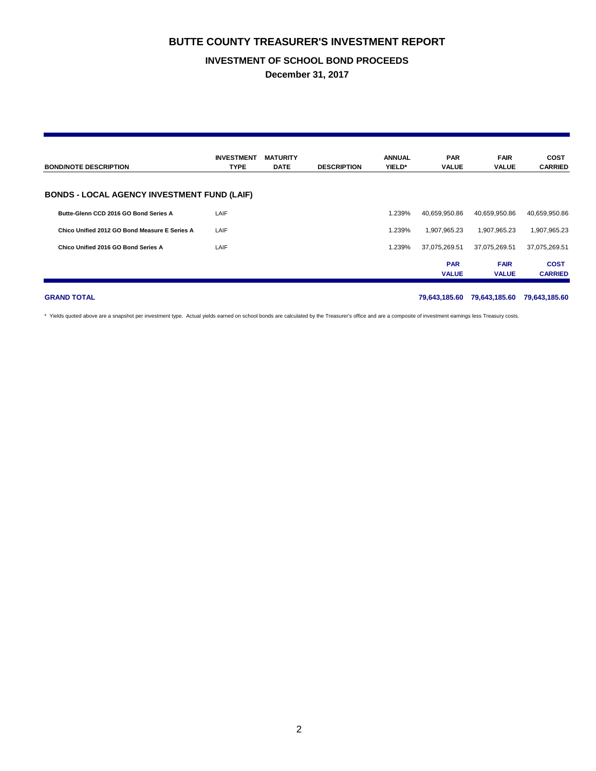### **INVESTMENT OF SCHOOL BOND PROCEEDS**

**December 31, 2017**

| <b>BOND/NOTE DESCRIPTION</b>                       | <b>INVESTMENT</b><br><b>TYPE</b> | <b>MATURITY</b><br><b>DATE</b> | <b>DESCRIPTION</b> | <b>ANNUAL</b><br>YIELD* | <b>PAR</b><br><b>VALUE</b> | <b>FAIR</b><br><b>VALUE</b> | <b>COST</b><br><b>CARRIED</b> |  |  |
|----------------------------------------------------|----------------------------------|--------------------------------|--------------------|-------------------------|----------------------------|-----------------------------|-------------------------------|--|--|
| <b>BONDS - LOCAL AGENCY INVESTMENT FUND (LAIF)</b> |                                  |                                |                    |                         |                            |                             |                               |  |  |
| Butte-Glenn CCD 2016 GO Bond Series A              | LAIF                             |                                |                    | 1.239%                  | 40,659,950.86              | 40,659,950.86               | 40,659,950.86                 |  |  |
| Chico Unified 2012 GO Bond Measure E Series A      | LAIF                             |                                |                    | 1.239%                  | 1.907.965.23               | 1.907.965.23                | 1,907,965.23                  |  |  |
| Chico Unified 2016 GO Bond Series A                | LAIF                             |                                |                    | 1.239%                  | 37,075,269.51              | 37,075,269.51               | 37,075,269.51                 |  |  |
|                                                    |                                  |                                |                    |                         | <b>PAR</b><br><b>VALUE</b> | <b>FAIR</b><br><b>VALUE</b> | <b>COST</b><br><b>CARRIED</b> |  |  |

**GRAND TOTAL 79,643,185.60 79,643,185.60 79,643,185.60**

\* Yields quoted above are a snapshot per investment type. Actual yields earned on school bonds are calculated by the Treasurer's office and are a composite of investment earnings less Treasury costs.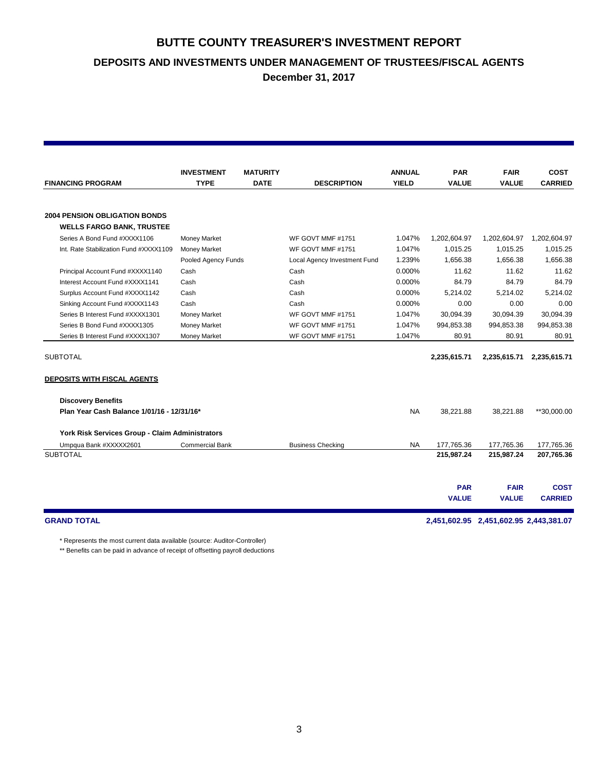**DEPOSITS AND INVESTMENTS UNDER MANAGEMENT OF TRUSTEES/FISCAL AGENTS**

**December 31, 2017**

| <b>ANNUAL</b><br><b>PAR</b><br><b>INVESTMENT</b><br><b>MATURITY</b>                                          | <b>FAIR</b>  | <b>COST</b>    |
|--------------------------------------------------------------------------------------------------------------|--------------|----------------|
| <b>YIELD</b><br><b>FINANCING PROGRAM</b><br><b>TYPE</b><br><b>DATE</b><br><b>DESCRIPTION</b><br><b>VALUE</b> | <b>VALUE</b> | <b>CARRIED</b> |
|                                                                                                              |              |                |
| <b>2004 PENSION OBLIGATION BONDS</b>                                                                         |              |                |
| <b>WELLS FARGO BANK, TRUSTEE</b>                                                                             |              |                |
| Series A Bond Fund #XXXX1106<br><b>Money Market</b><br>WF GOVT MMF #1751<br>1.047%<br>1,202,604.97           | 1,202,604.97 | 1,202,604.97   |
| <b>Money Market</b><br>1.047%<br>1,015.25<br>Int. Rate Stabilization Fund #XXXX1109<br>WF GOVT MMF #1751     | 1,015.25     | 1,015.25       |
| 1.239%<br>1.656.38<br>Pooled Agency Funds<br>Local Agency Investment Fund                                    | 1,656.38     | 1,656.38       |
| 0.000%<br>11.62<br>Principal Account Fund #XXXX1140<br>Cash<br>Cash                                          | 11.62        | 11.62          |
| 84.79<br>Interest Account Fund #XXXX1141<br>0.000%<br>Cash<br>Cash                                           | 84.79        | 84.79          |
| 5,214.02<br>Surplus Account Fund #XXXX1142<br>Cash<br>0.000%<br>Cash                                         | 5,214.02     | 5,214.02       |
| 0.000%<br>0.00<br>Sinking Account Fund #XXXX1143<br>Cash<br>Cash                                             | 0.00         | 0.00           |
| 1.047%<br>30.094.39<br>Series B Interest Fund #XXXX1301<br><b>Money Market</b><br>WF GOVT MMF #1751          | 30.094.39    | 30.094.39      |
| 1.047%<br>Series B Bond Fund #XXXX1305<br>Money Market<br>WF GOVT MMF #1751<br>994,853.38                    | 994,853.38   | 994,853.38     |
| 1.047%<br>80.91<br>Series B Interest Fund #XXXX1307<br><b>Money Market</b><br>WF GOVT MMF #1751              | 80.91        | 80.91          |
| <b>SUBTOTAL</b><br>2,235,615.71                                                                              | 2,235,615.71 | 2,235,615.71   |
|                                                                                                              |              |                |
| <b>DEPOSITS WITH FISCAL AGENTS</b>                                                                           |              |                |
| <b>Discovery Benefits</b>                                                                                    |              |                |
| Plan Year Cash Balance 1/01/16 - 12/31/16*<br><b>NA</b><br>38,221.88                                         | 38.221.88    | **30,000.00    |
| York Risk Services Group - Claim Administrators                                                              |              |                |
| <b>NA</b><br>177,765.36<br>Umpqua Bank #XXXXX2601<br><b>Commercial Bank</b><br><b>Business Checking</b>      | 177,765.36   | 177,765.36     |
| <b>SUBTOTAL</b><br>215,987.24                                                                                | 215,987.24   | 207,765.36     |
|                                                                                                              |              |                |
| <b>PAR</b>                                                                                                   | <b>FAIR</b>  | <b>COST</b>    |
| <b>VALUE</b>                                                                                                 | <b>VALUE</b> | <b>CARRIED</b> |
| <b>GRAND TOTAL</b><br>2,451,602.95 2,451,602.95 2,443,381.07                                                 |              |                |

\* Represents the most current data available (source: Auditor-Controller)

\*\* Benefits can be paid in advance of receipt of offsetting payroll deductions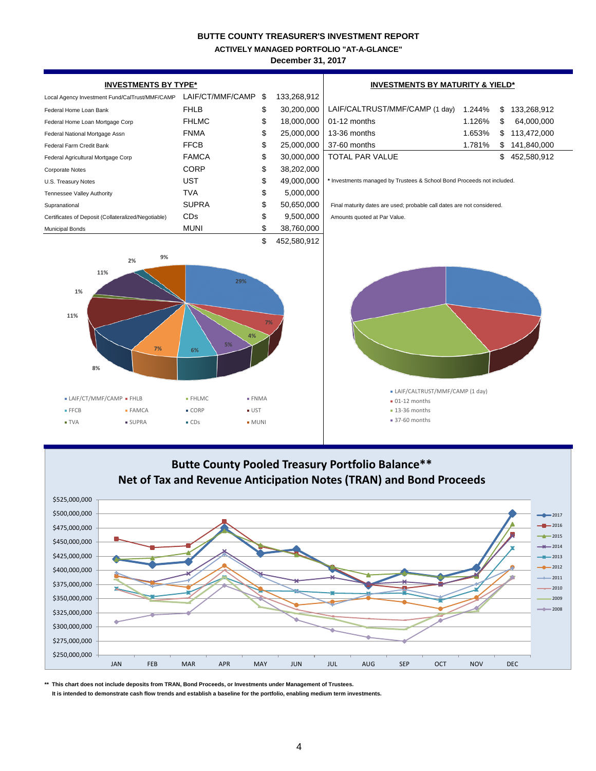**ACTIVELY MANAGED PORTFOLIO "AT-A-GLANCE"**

**December 31, 2017**



# **Butte County Pooled Treasury Portfolio Balance\*\* Net of Tax and Revenue Anticipation Notes (TRAN) and Bond Proceeds**



**\*\* This chart does not include deposits from TRAN, Bond Proceeds, or Investments under Management of Trustees. It is intended to demonstrate cash flow trends and establish a baseline for the portfolio, enabling medium term investments.**